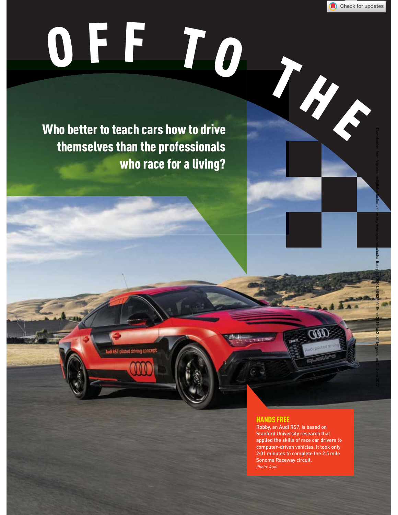

Downloaded from http://asmedigitalcollection.asme.org/memagazineselect/article-pdf/138/01/36/6359519/me-2016-jan2.pdf by guest on 25 June 2022

## OFF TO THE

Who better to teach cars how to drive themselves than the professionals who race for a living?

## HANDS FREE

Robby, an Audi RS7, is based on Stanford University research that applied the skills of race car drivers to computer-driven vehicles. It took only 2:01 minutes to complete the 2.5 mile Sonoma Raceway circuit. *Photo: Audi*

وهي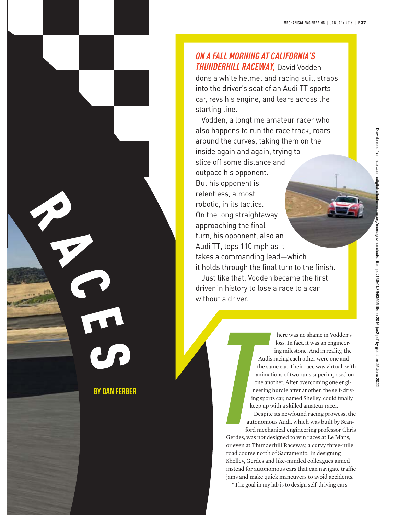# R A C E

 $\mathbf{C}$ 

BY DAN FERBER

ON A FALL MORNING AT CALIFORNIA'S *THUNDERHILL RACEWAY*, David Vodden *THUNDERHILL RACEWAY,* David Vodden dons a white helmet and racing suit, straps into the driver's seat of an Audi TT sports car, revs his engine, and tears across the starting line.

Vodden, a longtime amateur racer who also happens to run the race track, roars around the curves, taking them on the inside again and again, trying to slice off some distance and outpace his opponent. But his opponent is relentless, almost robotic, in its tactics. On the long straightaway approaching the final turn, his opponent, also an Audi TT, tops 110 mph as it takes a commanding lead—which it holds through the final turn to the finish. Just like that, Vodden became the first

driver in history to lose a race to a car without a driver.

> here was no shame in Vodden's loss. In fact, it was an engineering milestone. And in reality, the Audis racing each other were one and the same car. Their race was virtual, with animations of two runs superimposed on one another. After overcoming one engineering hurdle after another, the self-driving sports car, named Shelley, could finally keep up with a skilled amateur racer.

Despite its newfound racing prowess, the autonomous Audi, which was built by Stanford mechanical engineering professor Chris

Gerdes, was not designed to win races at Le Mans, or even at Thunderhill Raceway, a curvy three-mile road course north of Sacramento. In designing Shelley, Gerdes and like-minded colleagues aimed instead for autonomous cars that can navigate traffic jams and make quick maneuvers to avoid accidents.

"The goal in my lab is to design self-driving cars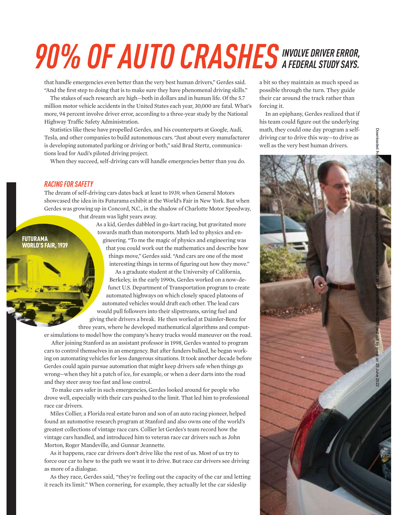## *90% OF AUTO CRASHES INVOLVE DRIVER ERROR,*

that handle emergencies even better than the very best human drivers," Gerdes said. "And the first step to doing that is to make sure they have phenomenal driving skills."

The stakes of such research are high—both in dollars and in human life. Of the 5.7 million motor vehicle accidents in the United States each year, 30,000 are fatal. What's more, 94 percent involve driver error, according to a three-year study by the National Highway Traffic Safety Administration.

Statistics like these have propelled Gerdes, and his counterparts at Google, Audi, Tesla, and other companies to build autonomous cars. "Just about every manufacturer is developing automated parking or driving or both," said Brad Stertz, communications lead for Audi's piloted driving project.

When they succeed, self-driving cars will handle emergencies better than you do.

## **RACING FOR SAFETY**

FUTURAMA WORLD'S FAIR, 1939

*RACING FOR SAFETY* The dream of self-driving cars dates back at least to 1939, when General Motors showcased the idea in its Futurama exhibit at the World's Fair in New York. But when Gerdes was growing up in Concord, N.C., in the shadow of Charlotte Motor Speedway, that dream was light years away.

> As a kid, Gerdes dabbled in go-kart racing, but gravitated more towards math than motorsports. Math led to physics and engineering. "To me the magic of physics and engineering was that you could work out the mathematics and describe how things move," Gerdes said. "And cars are one of the most interesting things in terms of figuring out how they move."

As a graduate student at the University of California, Berkeley, in the early 1990s, Gerdes worked on a now-defunct U.S. Department of Transportation program to create automated highways on which closely spaced platoons of automated vehicles would draft each other. The lead cars would pull followers into their slipstreams, saving fuel and giving their drivers a break. He then worked at Daimler-Benz for three years, where he developed mathematical algorithms and comput-

er simulations to model how the company's heavy trucks would maneuver on the road.

 After joining Stanford as an assistant professor in 1998, Gerdes wanted to program cars to control themselves in an emergency. But after funders balked, he began working on automating vehicles for less dangerous situations. It took another decade before Gerdes could again pursue automation that might keep drivers safe when things go wrong—when they hit a patch of ice, for example, or when a deer darts into the road and they steer away too fast and lose control.

 To make cars safer in such emergencies, Gerdes looked around for people who drove well, especially with their cars pushed to the limit. That led him to professional race car drivers.

Miles Collier, a Florida real estate baron and son of an auto racing pioneer, helped found an automotive research program at Stanford and also owns one of the world's greatest collections of vintage race cars. Collier let Gerdes's team record how the vintage cars handled, and introduced him to veteran race car drivers such as John Morton, Roger Mandeville, and Gunnar Jeannette.

As it happens, race car drivers don't drive like the rest of us. Most of us try to force our car to hew to the path we want it to drive. But race car drivers see driving as more of a dialogue.

As they race, Gerdes said, "they're feeling out the capacity of the car and letting it reach its limit." When cornering, for example, they actually let the car sideslip

a bit so they maintain as much speed as possible through the turn. They guide their car around the track rather than forcing it.

In an epiphany, Gerdes realized that if his team could figure out the underlying math, they could one day program a selfdriving car to drive this way—to drive as well as the very best human drivers.

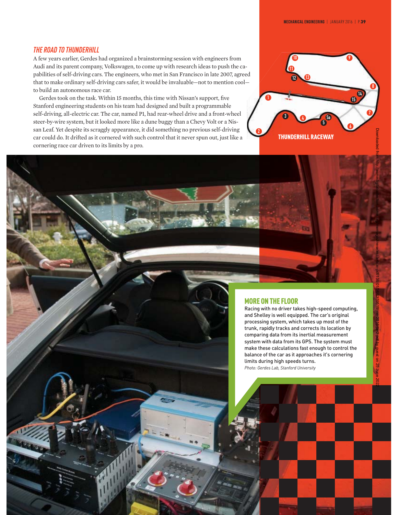## **THE ROAD TO THUNDERHILL**

*THE ROAD TO THUNDERHILL* A few years earlier, Gerdes had organized a brainstorming session with engineers from Audi and its parent company, Volkswagen, to come up with research ideas to push the capabilities of self-driving cars. The engineers, who met in San Francisco in late 2007, agreed that to make ordinary self-driving cars safer, it would be invaluable—not to mention cool to build an autonomous race car.

Gerdes took on the task. Within 15 months, this time with Nissan's support, five Stanford engineering students on his team had designed and built a programmable self-driving, all-electric car. The car, named P1, had rear-wheel drive and a front-wheel steer-by-wire system, but it looked more like a dune buggy than a Chevy Volt or a Nissan Leaf. Yet despite its scraggly appearance, it did something no previous self-driving car could do. It drifted as it cornered with such control that it never spun out, just like a cornering race car driven to its limits by a pro.



## MORE ON THE FLOOR

Racing with no driver takes high-speed computing, and Shelley is well equipped. The car's original processing system, which takes up most of the trunk, rapidly tracks and corrects its location by comparing data from its inertial measurement system with data from its GPS. The system must make these calculations fast enough to control the balance of the car as it approaches it's cornering limits during high speeds turns. *Photo: Gerdes Lab, Stanford University*

g SS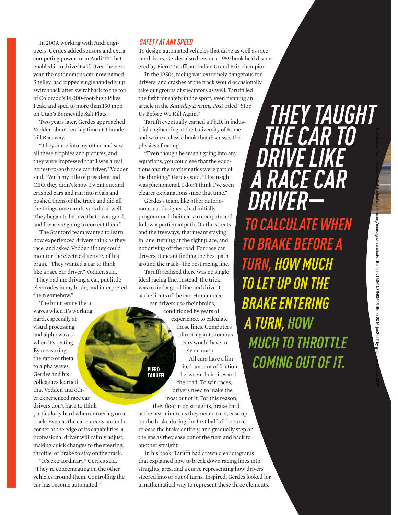In 2009, working with Audi engineers, Gerdes added sensors and extra computing power to an Audi TT that enabled it to drive itself. Over the next year, the autonomous car, now named Shelley, had zipped singlehandedly up switchback after switchback to the top of Colorado's 14,000-foot-high Pikes Peak, and sped to more than 130 mph on Utah's Bonneville Salt Flats.

Two years later, Gerdes approached Vodden about renting time at Thunderhill Raceway.

"They came into my office and saw all these trophies and pictures, and they were impressed that I was a real honest-to-gosh race car driver," Vodden said. "With my title of president and CEO, they didn't know I went out and crashed cars and ran into rivals and pushed them off the track and did all the things race car drivers do so well. They began to believe that I was good, and I was *not* going to correct them."

The Stanford team wanted to learn how experienced drivers think as they race, and asked Vodden if they could monitor the electrical activity of his brain. "They wanted a car to think like a race car driver," Vodden said. "They had me driving a car, put little electrodes in my brain, and interpreted them somehow."

The brain emits theta waves when it's working hard, especially at visual processing, and alpha waves when it's resting. By measuring the ratio of theta to alpha waves, Gerdes and his colleagues learned that Vodden and other experienced race car drivers don't have to think

particularly hard when cornering on a track. Even as the car careens around a corner at the edge of its capabilities, a professional driver will calmly adjust, making quick changes to the steering, throttle, or brake to stay on the track.

"It's extraordinary," Gerdes said. "They're concentrating on the other vehicles around them. Controlling the car has become automated."

*SAFETY AT ANY SPEED* To design automated vehicles that drive as well as race car drivers, Gerdes also drew on a 1959 book he'd discovered by Piero Taruffi, an Italian Grand Prix champion.

In the 1950s, racing was extremely dangerous for drivers, and crashes at the track would occasionally take out groups of spectators as well. Taruffi led the fight for safety in the sport, even penning an article in the *Saturday Evening Post* titled "Stop Us Before We Kill Again."

Taruffi eventually earned a Ph.D. in industrial engineering at the University of Rome and wrote a classic book that discusses the physics of racing.

"Even though he wasn't going into any equations, you could see that the equations and the mathematics were part of his thinking," Gerdes said. "His insight was phenomenal. I don't think I've seen clearer explanations since that time."

Gerdes's team, like other autonomous car designers, had initially programmed their cars to compute and follow a particular path. On the streets and the freeways, that meant staying in lane, turning at the right place, and not driving off the road. For race car drivers, it meant finding the best path around the track—the best racing line.

Taruffi realized there was no single ideal racing line. Instead, the trick was to find a good line and drive it at the limits of the car. Human race

> PIERO TARUFFI

car drivers use their brains, conditioned by years of experience, to calculate those lines. Computers directing autonomous cars would have to rely on math.

All cars have a limited amount of friction between their tires and the road. To win races, drivers need to make the most out of it. For this reason, they floor it on straights, brake hard

at the last minute as they near a turn, ease up on the brake during the first half of the turn, release the brake entirely, and gradually step on the gas as they ease out of the turn and back to another straight.

In his book, Taruffi had drawn clear diagrams that explained how to break down racing lines into straights, arcs, and a curve representing how drivers steered into or out of turns. Inspired, Gerdes looked for a mathematical way to represent these three elements.

*THEY TAUGHT<br>THE CAR TO* **DRIVE LIKE A RACE CAR** *DRIVER— TO CALCULATE WHEN* **TO BRAKE BEFORE A TURN, HOW MUCH TO LET UP ON THE BRAKE ENTERING ATURN, HOW MUCH TO THROTTLE COMING OUT OF IT.** 

Downloaded from http://asmedigitalcollection.asme.org/memagazineselect/article-pdf/138/01/36/6359519/me-2016-jan2.pdf by guest on 25 June 2022

e.org/memagazineselect/article-pdf/138/01/36/6359519/me-2016-jan2.pdf by gu